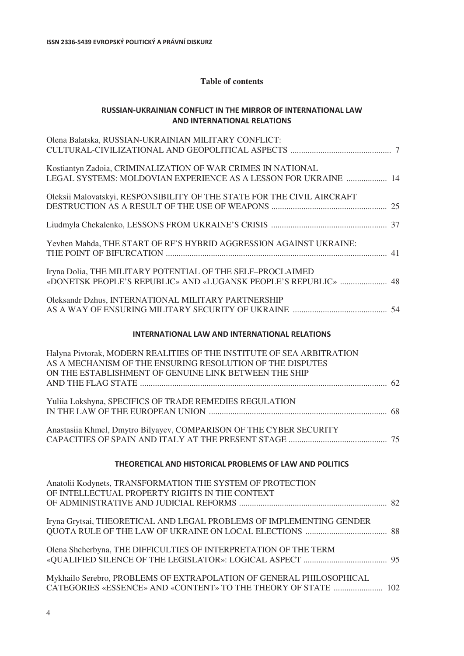## **Table of contents**

## **RUSSIAN-UKRAINIAN CONFLICT IN THE MIRROR OF INTERNATIONAL LAW EXAMPLE INTERNATIONAL RELATIONS**

| Olena Balatska, RUSSIAN-UKRAINIAN MILITARY CONFLICT:                                                                                                                                        |
|---------------------------------------------------------------------------------------------------------------------------------------------------------------------------------------------|
| Kostiantyn Zadoia, CRIMINALIZATION OF WAR CRIMES IN NATIONAL<br>LEGAL SYSTEMS: MOLDOVIAN EXPERIENCE AS A LESSON FOR UKRAINE  14                                                             |
| Oleksii Malovatskyi, RESPONSIBILITY OF THE STATE FOR THE CIVIL AIRCRAFT                                                                                                                     |
|                                                                                                                                                                                             |
| Yevhen Mahda, THE START OF RF'S HYBRID AGGRESSION AGAINST UKRAINE:                                                                                                                          |
| Iryna Dolia, THE MILITARY POTENTIAL OF THE SELF-PROCLAIMED<br>«DONETSK PEOPLE'S REPUBLIC» AND «LUGANSK PEOPLE'S REPUBLIC»  48                                                               |
| Oleksandr Dzhus, INTERNATIONAL MILITARY PARTNERSHIP                                                                                                                                         |
| <b>INTERNATIONAL LAW AND INTERNATIONAL RELATIONS</b>                                                                                                                                        |
| Halyna Pivtorak, MODERN REALITIES OF THE INSTITUTE OF SEA ARBITRATION<br>AS A MECHANISM OF THE ENSURING RESOLUTION OF THE DISPUTES<br>ON THE ESTABLISHMENT OF GENUINE LINK BETWEEN THE SHIP |
| Yuliia Lokshyna, SPECIFICS OF TRADE REMEDIES REGULATION                                                                                                                                     |
| Anastasiia Khmel, Dmytro Bilyayev, COMPARISON OF THE CYBER SECURITY                                                                                                                         |
| THEORETICAL AND HISTORICAL PROBLEMS OF LAW AND POLITICS                                                                                                                                     |
| Anatolii Kodynets, TRANSFORMATION THE SYSTEM OF PROTECTION<br>OF INTELLECTUAL PROPERTY RIGHTS IN THE CONTEXT                                                                                |
| Iryna Grytsai, THEORETICAL AND LEGAL PROBLEMS OF IMPLEMENTING GENDER                                                                                                                        |
| Olena Shcherbyna, THE DIFFICULTIES OF INTERPRETATION OF THE TERM                                                                                                                            |
| Mykhailo Serebro, PROBLEMS OF EXTRAPOLATION OF GENERAL PHILOSOPHICAL<br>CATEGORIES «ESSENCE» AND «CONTENT» TO THE THEORY OF STATE  102                                                      |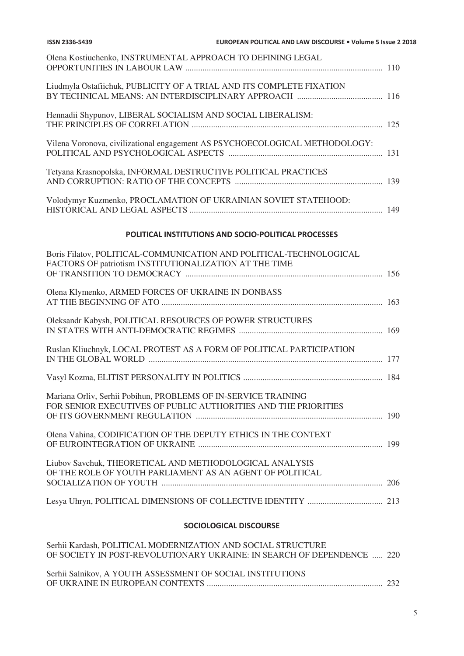| <b>SOCIOLOGICAL DISCOURSE</b>                                                                                                    |  |
|----------------------------------------------------------------------------------------------------------------------------------|--|
|                                                                                                                                  |  |
| Liubov Savchuk, THEORETICAL AND METHODOLOGICAL ANALYSIS<br>OF THE ROLE OF YOUTH PARLIAMENT AS AN AGENT OF POLITICAL              |  |
| Olena Vahina, CODIFICATION OF THE DEPUTY ETHICS IN THE CONTEXT                                                                   |  |
| Mariana Orliv, Serhii Pobihun, PROBLEMS OF IN-SERVICE TRAINING<br>FOR SENIOR EXECUTIVES OF PUBLIC AUTHORITIES AND THE PRIORITIES |  |
|                                                                                                                                  |  |
| Ruslan Kliuchnyk, LOCAL PROTEST AS A FORM OF POLITICAL PARTICIPATION                                                             |  |
| Oleksandr Kabysh, POLITICAL RESOURCES OF POWER STRUCTURES                                                                        |  |
| Olena Klymenko, ARMED FORCES OF UKRAINE IN DONBASS                                                                               |  |
| Boris Filatov, POLITICAL-COMMUNICATION AND POLITICAL-TECHNOLOGICAL<br>FACTORS OF patriotism INSTITUTIONALIZATION AT THE TIME     |  |
| POLITICAL INSTITUTIONS AND SOCIO-POLITICAL PROCESSES                                                                             |  |
| Volodymyr Kuzmenko, PROCLAMATION OF UKRAINIAN SOVIET STATEHOOD:                                                                  |  |
| Tetyana Krasnopolska, INFORMAL DESTRUCTIVE POLITICAL PRACTICES                                                                   |  |
| Vilena Voronova, civilizational engagement AS PSYCHOECOLOGICAL METHODOLOGY:                                                      |  |
| Hennadii Shypunov, LIBERAL SOCIALISM AND SOCIAL LIBERALISM:                                                                      |  |
| Liudmyla Ostafiichuk, PUBLICITY OF A TRIAL AND ITS COMPLETE FIXATION                                                             |  |
| Olena Kostiuchenko, INSTRUMENTAL APPROACH TO DEFINING LEGAL                                                                      |  |

| Serhii Kardash, POLITICAL MODERNIZATION AND SOCIAL STRUCTURE<br>OF SOCIETY IN POST-REVOLUTIONARY UKRAINE: IN SEARCH OF DEPENDENCE  220 |  |
|----------------------------------------------------------------------------------------------------------------------------------------|--|
| Serhii Salnikov, A YOUTH ASSESSMENT OF SOCIAL INSTITUTIONS                                                                             |  |